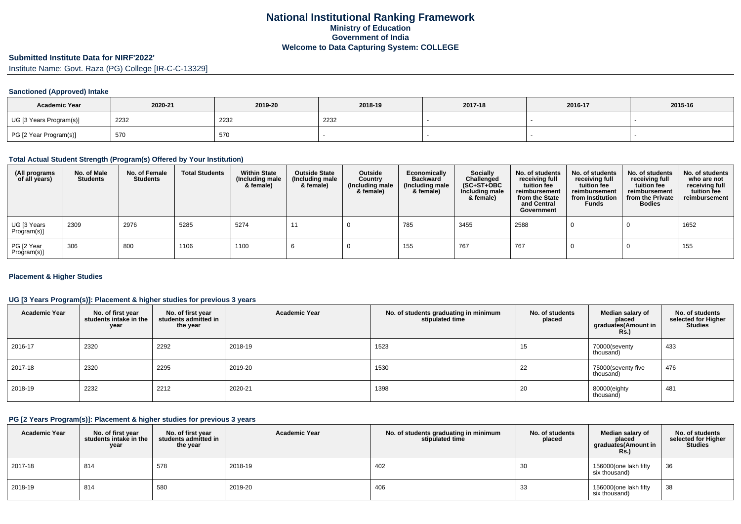# **Submitted Institute Data for NIRF'2022'**

Institute Name: Govt. Raza (PG) College [IR-C-C-13329]

### **Sanctioned (Approved) Intake**

| <b>Academic Year</b>    | 2020-21 | 2019-20 | 2018-19 | 2017-18 | 2016-17 | 2015-16 |
|-------------------------|---------|---------|---------|---------|---------|---------|
| UG [3 Years Program(s)] | 2232    | 2232    | 2232    |         |         |         |
| PG [2 Year Program(s)]  | 570     | 570     |         |         |         |         |

#### **Total Actual Student Strength (Program(s) Offered by Your Institution)**

| (All programs<br>of all years) | No. of Male<br>Students | No. of Female<br><b>Students</b> | <b>Total Students</b> | <b>Within State</b><br>(Including male<br>& female) | <b>Outside State</b><br>(Including male<br>& female) | Outside<br>Country<br>(Including male<br>& female) | Economically<br><b>Backward</b><br>(Including male<br>& female) | <b>Socially</b><br>Challenged<br>$(SC+ST+OBC)$<br>Including male<br>& female) | No. of students<br>receiving full<br>tuition fee<br>reimbursement<br>from the State<br>and Central<br>Government | No. of students<br>receiving full<br>tuition fee<br>reimbursement<br>from Institution<br><b>Funds</b> | No. of students<br>receiving full<br>tuition fee<br>reimbursement<br>from the Private<br><b>Bodies</b> | No. of students<br>who are not<br>receiving full<br>tuition fee<br>reimbursement |
|--------------------------------|-------------------------|----------------------------------|-----------------------|-----------------------------------------------------|------------------------------------------------------|----------------------------------------------------|-----------------------------------------------------------------|-------------------------------------------------------------------------------|------------------------------------------------------------------------------------------------------------------|-------------------------------------------------------------------------------------------------------|--------------------------------------------------------------------------------------------------------|----------------------------------------------------------------------------------|
| UG [3 Years<br>Program(s)]     | 2309                    | 2976                             | 5285                  | 5274                                                |                                                      |                                                    | 785                                                             | 3455                                                                          | 2588                                                                                                             |                                                                                                       |                                                                                                        | 1652                                                                             |
| PG [2 Year<br>Program(s)]      | 306                     | 800                              | 1106                  | 1100                                                |                                                      |                                                    | 155                                                             | 767                                                                           | 767                                                                                                              |                                                                                                       |                                                                                                        | 155                                                                              |

### **Placement & Higher Studies**

### **UG [3 Years Program(s)]: Placement & higher studies for previous 3 years**

| <b>Academic Year</b> | No. of first year<br>students intake in the<br>year | No. of first year<br>students admitted in<br>the year | <b>Academic Year</b> | No. of students graduating in minimum<br>stipulated time | No. of students<br>placed | Median salary of<br>placed<br>graduates(Amount in<br><b>Rs.)</b> | No. of students<br>selected for Higher<br><b>Studies</b> |
|----------------------|-----------------------------------------------------|-------------------------------------------------------|----------------------|----------------------------------------------------------|---------------------------|------------------------------------------------------------------|----------------------------------------------------------|
| 2016-17              | 2320                                                | 2292                                                  | 2018-19              | 1523                                                     | 15                        | 70000(seventy<br>thousand)                                       | 433                                                      |
| 2017-18              | 2320                                                | 2295                                                  | 2019-20              | 1530                                                     | 22                        | 75000(seventy five<br>thousand)                                  | 476                                                      |
| 2018-19              | 2232                                                | 2212                                                  | 2020-21              | 1398                                                     | 20                        | 80000(eighty<br>thousand)                                        | 481                                                      |

#### **PG [2 Years Program(s)]: Placement & higher studies for previous 3 years**

| <b>Academic Year</b> | No. of first year<br>students intake in the<br>year | No. of first vear<br>students admitted in<br>the year | <b>Academic Year</b> | No. of students graduating in minimum<br>stipulated time | No. of students<br>placed | Median salary of<br>placed<br>graduates(Amount in<br><b>Rs.)</b> | No. of students<br>selected for Higher<br><b>Studies</b> |
|----------------------|-----------------------------------------------------|-------------------------------------------------------|----------------------|----------------------------------------------------------|---------------------------|------------------------------------------------------------------|----------------------------------------------------------|
| 2017-18              | 814                                                 | 578                                                   | 2018-19              | 402                                                      | 30                        | 156000(one lakh fifty<br>six thousand)                           | 36                                                       |
| 2018-19              | 814                                                 | 580                                                   | 2019-20              | 406                                                      | 33                        | 156000(one lakh fifty<br>six thousand)                           | 38                                                       |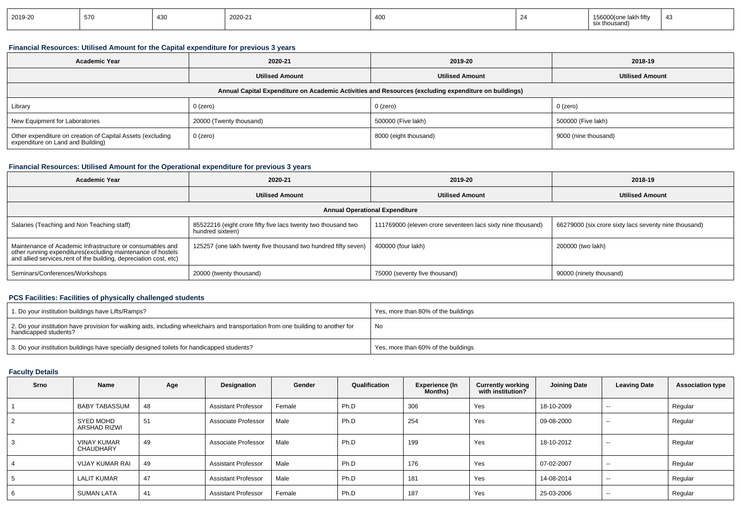| 2019-20 | 570 | 430 | 2020-21 | 400 | ⊧lakh fiftv<br>thousand)<br>ີ |  |
|---------|-----|-----|---------|-----|-------------------------------|--|
|         |     |     |         |     |                               |  |

## **Financial Resources: Utilised Amount for the Capital expenditure for previous 3 years**

| <b>Academic Year</b>                                                                                 | 2020-21                 | 2019-20               | 2018-19                |  |  |  |  |  |  |  |
|------------------------------------------------------------------------------------------------------|-------------------------|-----------------------|------------------------|--|--|--|--|--|--|--|
|                                                                                                      | <b>Utilised Amount</b>  |                       | <b>Utilised Amount</b> |  |  |  |  |  |  |  |
| Annual Capital Expenditure on Academic Activities and Resources (excluding expenditure on buildings) |                         |                       |                        |  |  |  |  |  |  |  |
| Library                                                                                              | 0 (zero)                | 0 (zero)              | 0 (zero)               |  |  |  |  |  |  |  |
| New Equipment for Laboratories                                                                       | 20000 (Twenty thousand) | 500000 (Five lakh)    | 500000 (Five lakh)     |  |  |  |  |  |  |  |
| Other expenditure on creation of Capital Assets (excluding<br>expenditure on Land and Building)      | 0 (zero)                | 8000 (eight thousand) | 9000 (nine thousand)   |  |  |  |  |  |  |  |

# **Financial Resources: Utilised Amount for the Operational expenditure for previous 3 years**

| <b>Academic Year</b>                                                                                                                                                                           | 2020-21                                                                           | 2019-20                                                     | 2018-19                                               |  |  |  |  |  |  |  |
|------------------------------------------------------------------------------------------------------------------------------------------------------------------------------------------------|-----------------------------------------------------------------------------------|-------------------------------------------------------------|-------------------------------------------------------|--|--|--|--|--|--|--|
|                                                                                                                                                                                                | <b>Utilised Amount</b>                                                            | <b>Utilised Amount</b>                                      | <b>Utilised Amount</b>                                |  |  |  |  |  |  |  |
| <b>Annual Operational Expenditure</b>                                                                                                                                                          |                                                                                   |                                                             |                                                       |  |  |  |  |  |  |  |
| Salaries (Teaching and Non Teaching staff)                                                                                                                                                     | 85522216 (eight crore fifty five lacs twenty two thousand two<br>hundred sixteen) | 111769000 (eleven crore seventeen lacs sixty nine thousand) | 66279000 (six crore sixty lacs seventy nine thousand) |  |  |  |  |  |  |  |
| Maintenance of Academic Infrastructure or consumables and<br>other running expenditures(excluding maintenance of hostels<br>and allied services, rent of the building, depreciation cost, etc) | 125257 (one lakh twenty five thousand two hundred fifty seven)                    | 400000 (four lakh)                                          | 200000 (two lakh)                                     |  |  |  |  |  |  |  |
| Seminars/Conferences/Workshops                                                                                                                                                                 | 20000 (twenty thousand)                                                           | 75000 (seventy five thousand)                               | 90000 (ninety thousand)                               |  |  |  |  |  |  |  |

# **PCS Facilities: Facilities of physically challenged students**

| 1. Do your institution buildings have Lifts/Ramps?                                                                                                               | Yes, more than 80% of the buildings |
|------------------------------------------------------------------------------------------------------------------------------------------------------------------|-------------------------------------|
| $\pm$ 2. Do your institution have provision for walking aids, including wheelchairs and transportation from one building to another for<br>handicapped students? | No                                  |
| 3. Do your institution buildings have specially designed toilets for handicapped students?                                                                       | Yes, more than 60% of the buildings |

# **Faculty Details**

| Srno | Name                                    | Age | Designation                | Gender | Qualification | Experience (In<br>Months) | <b>Currently working</b><br>with institution? | <b>Joining Date</b> | <b>Leaving Date</b>      | <b>Association type</b> |
|------|-----------------------------------------|-----|----------------------------|--------|---------------|---------------------------|-----------------------------------------------|---------------------|--------------------------|-------------------------|
|      | <b>BABY TABASSUM</b>                    | 48  | <b>Assistant Professor</b> | Female | Ph.D          | 306                       | Yes                                           | 18-10-2009          | $\sim$ $\sim$            | Regular                 |
| 2    | <b>SYED MOHD</b><br><b>ARSHAD RIZWI</b> | 51  | Associate Professor        | Male   | Ph.D          | 254                       | Yes                                           | 09-08-2000          | $\sim$                   | Regular                 |
| 3    | <b>VINAY KUMAR</b><br><b>CHAUDHARY</b>  | 49  | Associate Professor        | Male   | Ph.D          | 199                       | Yes                                           | 18-10-2012          | $- -$                    | Regular                 |
| 4    | <b>VIJAY KUMAR RAI</b>                  | 49  | <b>Assistant Professor</b> | Male   | Ph.D          | 176                       | Yes                                           | 07-02-2007          | $- -$                    | Regular                 |
| 5    | <b>LALIT KUMAR</b>                      | 47  | <b>Assistant Professor</b> | Male   | Ph.D          | 181                       | Yes                                           | 14-08-2014          | $\overline{\phantom{a}}$ | Regular                 |
| 6    | <b>SUMAN LATA</b>                       | 41  | <b>Assistant Professor</b> | Female | Ph.D          | 187                       | Yes                                           | 25-03-2006          | $\sim$ $\sim$            | Regular                 |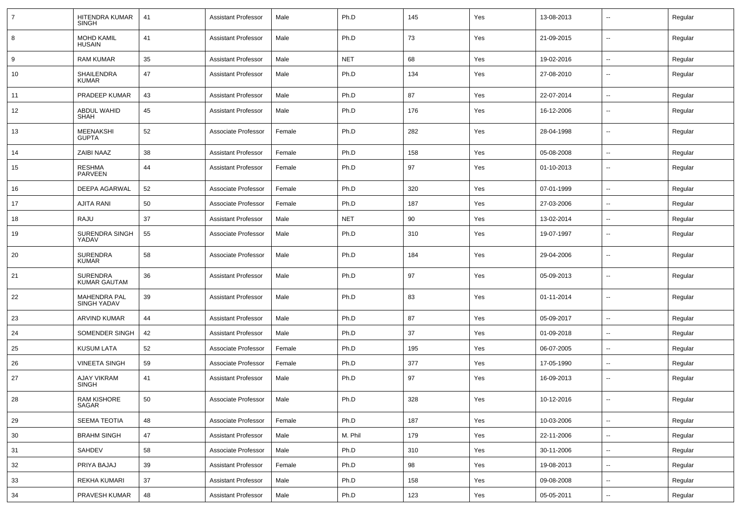| $\overline{7}$ | HITENDRA KUMAR<br><b>SINGH</b>            | 41 | <b>Assistant Professor</b> | Male   | Ph.D       | 145 | Yes | 13-08-2013 | --                       | Regular |
|----------------|-------------------------------------------|----|----------------------------|--------|------------|-----|-----|------------|--------------------------|---------|
| 8              | <b>MOHD KAMIL</b><br><b>HUSAIN</b>        | 41 | <b>Assistant Professor</b> | Male   | Ph.D       | 73  | Yes | 21-09-2015 | $\overline{\phantom{a}}$ | Regular |
| 9              | <b>RAM KUMAR</b>                          | 35 | <b>Assistant Professor</b> | Male   | <b>NET</b> | 68  | Yes | 19-02-2016 | ⊷.                       | Regular |
| 10             | SHAILENDRA<br>KUMAR                       | 47 | <b>Assistant Professor</b> | Male   | Ph.D       | 134 | Yes | 27-08-2010 | --                       | Regular |
| 11             | PRADEEP KUMAR                             | 43 | <b>Assistant Professor</b> | Male   | Ph.D       | 87  | Yes | 22-07-2014 | $\overline{\phantom{a}}$ | Regular |
| 12             | ABDUL WAHID<br>SHAH                       | 45 | <b>Assistant Professor</b> | Male   | Ph.D       | 176 | Yes | 16-12-2006 | $\overline{\phantom{a}}$ | Regular |
| 13             | <b>MEENAKSHI</b><br><b>GUPTA</b>          | 52 | Associate Professor        | Female | Ph.D       | 282 | Yes | 28-04-1998 | --                       | Regular |
| 14             | <b>ZAIBI NAAZ</b>                         | 38 | <b>Assistant Professor</b> | Female | Ph.D       | 158 | Yes | 05-08-2008 | $\overline{\phantom{a}}$ | Regular |
| 15             | RESHMA<br>PARVEEN                         | 44 | <b>Assistant Professor</b> | Female | Ph.D       | 97  | Yes | 01-10-2013 | --                       | Regular |
| 16             | DEEPA AGARWAL                             | 52 | Associate Professor        | Female | Ph.D       | 320 | Yes | 07-01-1999 | --                       | Regular |
| 17             | AJITA RANI                                | 50 | Associate Professor        | Female | Ph.D       | 187 | Yes | 27-03-2006 | $\overline{\phantom{a}}$ | Regular |
| 18             | RAJU                                      | 37 | <b>Assistant Professor</b> | Male   | <b>NET</b> | 90  | Yes | 13-02-2014 | $\overline{\phantom{a}}$ | Regular |
| 19             | <b>SURENDRA SINGH</b><br>YADAV            | 55 | Associate Professor        | Male   | Ph.D       | 310 | Yes | 19-07-1997 | $\overline{\phantom{a}}$ | Regular |
| 20             | <b>SURENDRA</b><br>KUMAR                  | 58 | Associate Professor        | Male   | Ph.D       | 184 | Yes | 29-04-2006 | --                       | Regular |
| 21             | <b>SURENDRA</b><br><b>KUMAR GAUTAM</b>    | 36 | <b>Assistant Professor</b> | Male   | Ph.D       | 97  | Yes | 05-09-2013 | --                       | Regular |
| 22             | <b>MAHENDRA PAL</b><br><b>SINGH YADAV</b> | 39 | <b>Assistant Professor</b> | Male   | Ph.D       | 83  | Yes | 01-11-2014 | --                       | Regular |
| 23             | <b>ARVIND KUMAR</b>                       | 44 | <b>Assistant Professor</b> | Male   | Ph.D       | 87  | Yes | 05-09-2017 | ⊷.                       | Regular |
| 24             | SOMENDER SINGH                            | 42 | <b>Assistant Professor</b> | Male   | Ph.D       | 37  | Yes | 01-09-2018 | $\overline{\phantom{a}}$ | Regular |
| 25             | <b>KUSUM LATA</b>                         | 52 | Associate Professor        | Female | Ph.D       | 195 | Yes | 06-07-2005 | --                       | Regular |
| 26             | <b>VINEETA SINGH</b>                      | 59 | Associate Professor        | Female | Ph.D       | 377 | Yes | 17-05-1990 | --                       | Regular |
| 27             | AJAY VIKRAM<br><b>SINGH</b>               | 41 | <b>Assistant Professor</b> | Male   | Ph.D       | 97  | Yes | 16-09-2013 | ⊷.                       | Regular |
| 28             | <b>RAM KISHORE</b><br>SAGAR               | 50 | Associate Professor        | Male   | Ph.D       | 328 | Yes | 10-12-2016 | $\overline{\phantom{a}}$ | Regular |
| 29             | SEEMA TEOTIA                              | 48 | Associate Professor        | Female | Ph.D       | 187 | Yes | 10-03-2006 | $\sim$                   | Regular |
| 30             | <b>BRAHM SINGH</b>                        | 47 | <b>Assistant Professor</b> | Male   | M. Phil    | 179 | Yes | 22-11-2006 | $\sim$                   | Regular |
| 31             | SAHDEV                                    | 58 | Associate Professor        | Male   | Ph.D       | 310 | Yes | 30-11-2006 | $\sim$                   | Regular |
| 32             | PRIYA BAJAJ                               | 39 | <b>Assistant Professor</b> | Female | Ph.D       | 98  | Yes | 19-08-2013 | ₩,                       | Regular |
| 33             | <b>REKHA KUMARI</b>                       | 37 | <b>Assistant Professor</b> | Male   | Ph.D       | 158 | Yes | 09-08-2008 | $\overline{\phantom{a}}$ | Regular |
| 34             | PRAVESH KUMAR                             | 48 | <b>Assistant Professor</b> | Male   | Ph.D       | 123 | Yes | 05-05-2011 | н.                       | Regular |